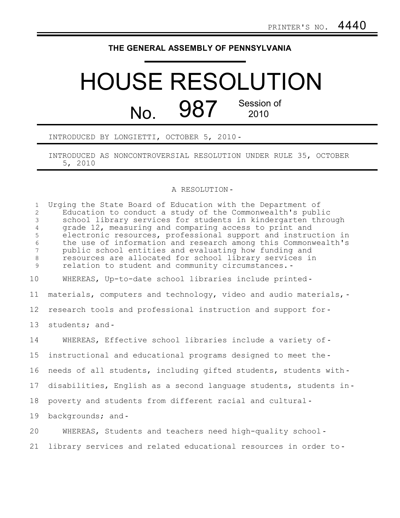�

## **THE GENERAL ASSEMBLY OF PENNSYLVANIA**

## HOUSE RESOLUTION Session of  $N_{\Omega}$  987 Session

INTRODUCED BY LONGIETTI, OCTOBER 5, 2010

J.

INTRODUCED AS NONCONTROVERSIAL RESOLUTION UNDER RULE 35, OCTOBER 5, 2010

## A RESOLUTION

1 Urging the State Board of Education with the Department of 2 Education to conduct a study of the Commonwealth's public 3 school library services for students in kindergarten through 4 grade 12, measuring and comparing access to print and 5 electronic resources, professional support and instruction in 6 the use of information and research among this Commonwealth's 7 public school entities and evaluating how funding and resources are allocated for school library services in 9 relation to student and community circumstances. 10 WHEREAS, Up-to-date school libraries include printed 11 materials, computers and technology, video and audio materials, -12 research tools and professional instruction and support for 13 students; and-14 WHEREAS, Effective school libraries include a variety of 15 instructional and educational programs designed to meet the 16 needs of all students, including gifted students, students with-17 disabilities, English as a second language students, students in-18 poverty and students from different racial and cultural 19 backgrounds; and-20 WHEREAS, Students and teachers need high-quality school 21 library services and related educational resources in order to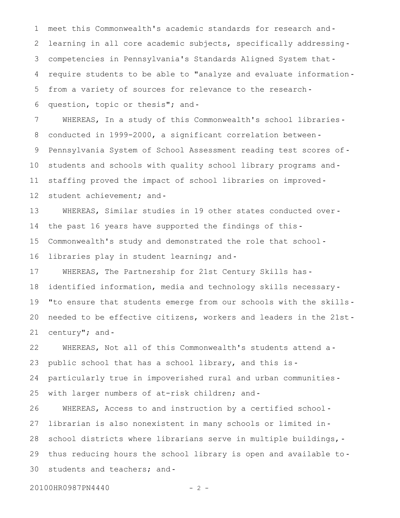1 2 3 4 5 6 meet this Commonwealth's academic standards for research and learning in all core academic subjects, specifically addressingcompetencies in Pennsylvania's Standards Aligned System that require students to be able to "analyze and evaluate information from a variety of sources for relevance to the researchquestion, topic or thesis"; and-

7 8 9 10 11 12 WHEREAS, In a study of this Commonwealth's school librariesconducted in 1999-2000, a significant correlation between Pennsylvania System of School Assessment reading test scores of students and schools with quality school library programs and staffing proved the impact of school libraries on improved student achievement; and-

13 14 15 16 WHEREAS, Similar studies in 19 other states conducted over the past 16 years have supported the findings of this Commonwealth's study and demonstrated the role that school libraries play in student learning; and-

17 18 19 20 21 WHEREAS, The Partnership for 21st Century Skills hasidentified information, media and technology skills necessary-"to ensure that students emerge from our schools with the skills needed to be effective citizens, workers and leaders in the 21st century"; and-

22 23 24 25 WHEREAS, Not all of this Commonwealth's students attend apublic school that has a school library, and this is particularly true in impoverished rural and urban communities with larger numbers of at-risk children; and-

26 27 28 29 30 WHEREAS, Access to and instruction by a certified schoollibrarian is also nonexistent in many schools or limited in school districts where librarians serve in multiple buildings, thus reducing hours the school library is open and available to students and teachers; and-

20100HR0987PN4440 - 2 -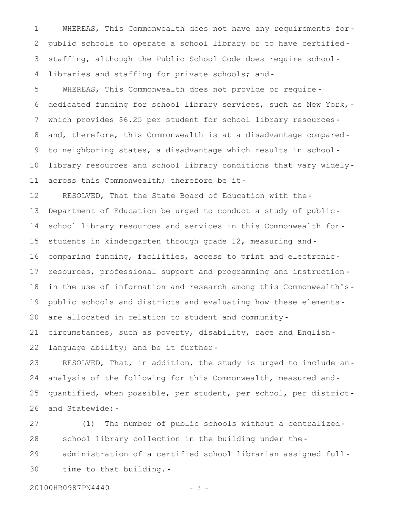1 2 3 4 WHEREAS, This Commonwealth does not have any requirements forpublic schools to operate a school library or to have certified staffing, although the Public School Code does require schoollibraries and staffing for private schools; and-

5 6 7 8 9 10 11 WHEREAS, This Commonwealth does not provide or requirededicated funding for school library services, such as New York, which provides \$6.25 per student for school library resources and, therefore, this Commonwealth is at a disadvantage comparedto neighboring states, a disadvantage which results in school library resources and school library conditions that vary widelyacross this Commonwealth; therefore be it-

12 13 14 15 16 17 18 19 20 RESOLVED, That the State Board of Education with the Department of Education be urged to conduct a study of public school library resources and services in this Commonwealth for students in kindergarten through grade 12, measuring andcomparing funding, facilities, access to print and electronic resources, professional support and programming and instruction in the use of information and research among this Commonwealth's public schools and districts and evaluating how these elements are allocated in relation to student and community-

21 22 circumstances, such as poverty, disability, race and English language ability; and be it further-

23 24 25 26 RESOLVED, That, in addition, the study is urged to include ananalysis of the following for this Commonwealth, measured andquantified, when possible, per student, per school, per district and Statewide:

27 28 29 30 (1) The number of public schools without a centralized school library collection in the building under the administration of a certified school librarian assigned full time to that building.

20100HR0987PN4440 - 3 -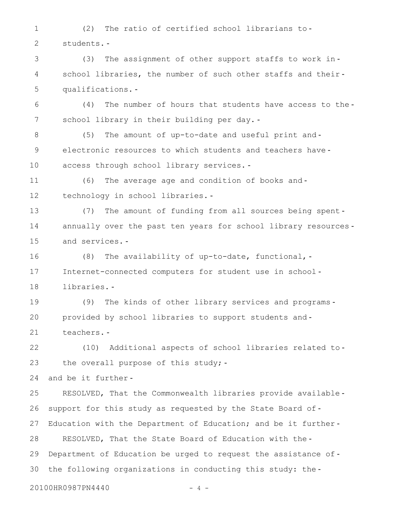1 2 (2) The ratio of certified school librarians to students.

3 4 5 (3) The assignment of other support staffs to work in school libraries, the number of such other staffs and theirqualifications.

6 7 (4) The number of hours that students have access to the school library in their building per day.

8 9 10 (5) The amount of up-to-date and useful print and electronic resources to which students and teachers have access through school library services.

11 12 (6) The average age and condition of books and technology in school libraries.

13 14 15 (7) The amount of funding from all sources being spent annually over the past ten years for school library resources and services.

16 17 18 (8) The availability of up-to-date, functional, Internet-connected computers for student use in school libraries.

19 20 21 (9) The kinds of other library services and programs provided by school libraries to support students and teachers.

22 23 (10) Additional aspects of school libraries related to the overall purpose of this study; -

24 and be it further

25 26 27 28 29 30 RESOLVED, That the Commonwealth libraries provide available support for this study as requested by the State Board of-Education with the Department of Education; and be it further-RESOLVED, That the State Board of Education with the Department of Education be urged to request the assistance ofthe following organizations in conducting this study: the

20100HR0987PN4440 - 4 -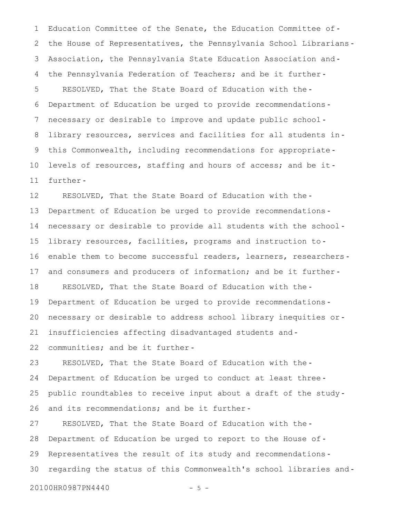1 2 3 4 5 6 7 8 9 10 11 Education Committee of the Senate, the Education Committee ofthe House of Representatives, the Pennsylvania School Librarians Association, the Pennsylvania State Education Association and the Pennsylvania Federation of Teachers; and be it further RESOLVED, That the State Board of Education with the Department of Education be urged to provide recommendations necessary or desirable to improve and update public school library resources, services and facilities for all students inthis Commonwealth, including recommendations for appropriate levels of resources, staffing and hours of access; and be itfurther

12 13 14 15 16 17 18 19 20 21 22 RESOLVED, That the State Board of Education with the Department of Education be urged to provide recommendations necessary or desirable to provide all students with the school library resources, facilities, programs and instruction toenable them to become successful readers, learners, researchersand consumers and producers of information; and be it further-RESOLVED, That the State Board of Education with the Department of Education be urged to provide recommendations necessary or desirable to address school library inequities or insufficiencies affecting disadvantaged students and communities; and be it further-

23 24 25 26 RESOLVED, That the State Board of Education with the Department of Education be urged to conduct at least three public roundtables to receive input about a draft of the study and its recommendations; and be it further-

27 28 29 30 RESOLVED, That the State Board of Education with the Department of Education be urged to report to the House of Representatives the result of its study and recommendations regarding the status of this Commonwealth's school libraries and

20100HR0987PN4440 - 5 -